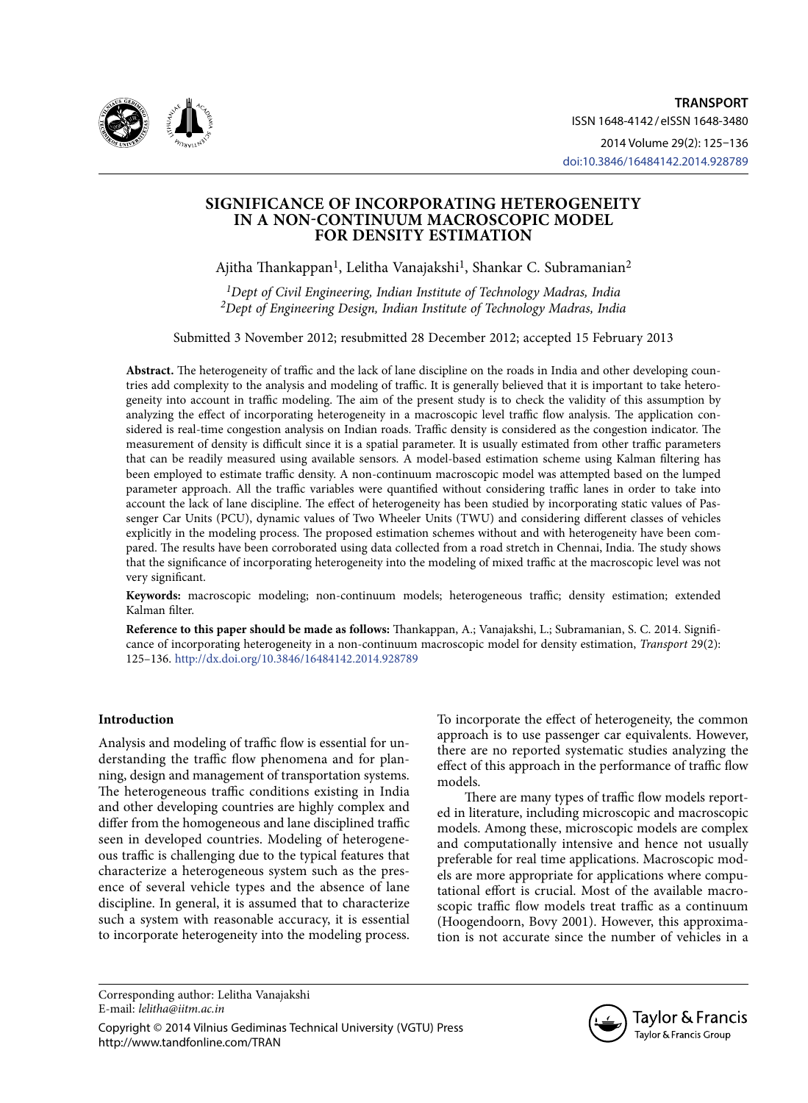

# **SIGNIFICANCE OF INCORPORATING HETEROGENEITY IN A NON-CONTINUUM MACROSCOPIC MODEL FOR DENSITY ESTIMATION**

Ajitha Thankappan<sup>1</sup>, Lelitha Vanajakshi<sup>1</sup>, Shankar C. Subramanian<sup>2</sup>

*1Dept of Civil Engineering, Indian Institute of Technology Madras, India 2Dept of Engineering Design, Indian Institute of Technology Madras, India*

Submitted 3 November 2012; resubmitted 28 December 2012; accepted 15 February 2013

**Abstract.** The heterogeneity of traffic and the lack of lane discipline on the roads in India and other developing countries add complexity to the analysis and modeling of traffic. It is generally believed that it is important to take heterogeneity into account in traffic modeling. The aim of the present study is to check the validity of this assumption by analyzing the effect of incorporating heterogeneity in a macroscopic level traffic flow analysis. The application considered is real-time congestion analysis on Indian roads. Traffic density is considered as the congestion indicator. The measurement of density is difficult since it is a spatial parameter. It is usually estimated from other traffic parameters that can be readily measured using available sensors. A model-based estimation scheme using Kalman filtering has been employed to estimate traffic density. A non-continuum macroscopic model was attempted based on the lumped parameter approach. All the traffic variables were quantified without considering traffic lanes in order to take into account the lack of lane discipline. The effect of heterogeneity has been studied by incorporating static values of Passenger Car Units (PCU), dynamic values of Two Wheeler Units (TWU) and considering different classes of vehicles explicitly in the modeling process. The proposed estimation schemes without and with heterogeneity have been compared. The results have been corroborated using data collected from a road stretch in Chennai, India. The study shows that the significance of incorporating heterogeneity into the modeling of mixed traffic at the macroscopic level was not very significant.

**Keywords:** macroscopic modeling; non-continuum models; heterogeneous traffic; density estimation; extended Kalman filter.

**Reference to this paper should be made as follows:** Thankappan, A.; Vanajakshi, L.; Subramanian, S. C. 2014. Significance of incorporating heterogeneity in a non-continuum macroscopic model for density estimation, *Transport* 29(2): 125–136. http://dx.doi.org/10.3846/16484142.2014.928789

# **Introduction**

Analysis and modeling of traffic flow is essential for understanding the traffic flow phenomena and for planning, design and management of transportation systems. The heterogeneous traffic conditions existing in India and other developing countries are highly complex and differ from the homogeneous and lane disciplined traffic seen in developed countries. Modeling of heterogeneous traffic is challenging due to the typical features that characterize a heterogeneous system such as the presence of several vehicle types and the absence of lane discipline. In general, it is assumed that to characterize such a system with reasonable accuracy, it is essential to incorporate heterogeneity into the modeling process. To incorporate the effect of heterogeneity, the common approach is to use passenger car equivalents. However, there are no reported systematic studies analyzing the effect of this approach in the performance of traffic flow models.

There are many types of traffic flow models reported in literature, including microscopic and macroscopic models. Among these, microscopic models are complex and computationally intensive and hence not usually preferable for real time applications. Macroscopic models are more appropriate for applications where computational effort is crucial. Most of the available macroscopic traffic flow models treat traffic as a continuum (Hoogendoorn, Bovy 2001). However, this approximation is not accurate since the number of vehicles in a

Corresponding author: Lelitha Vanajakshi E-mail: *lelitha@iitm.ac.in* Copyright © 2014 Vilnius Gediminas Technical University (VGTU) Press

http://www.tandfonline.com/TRAN

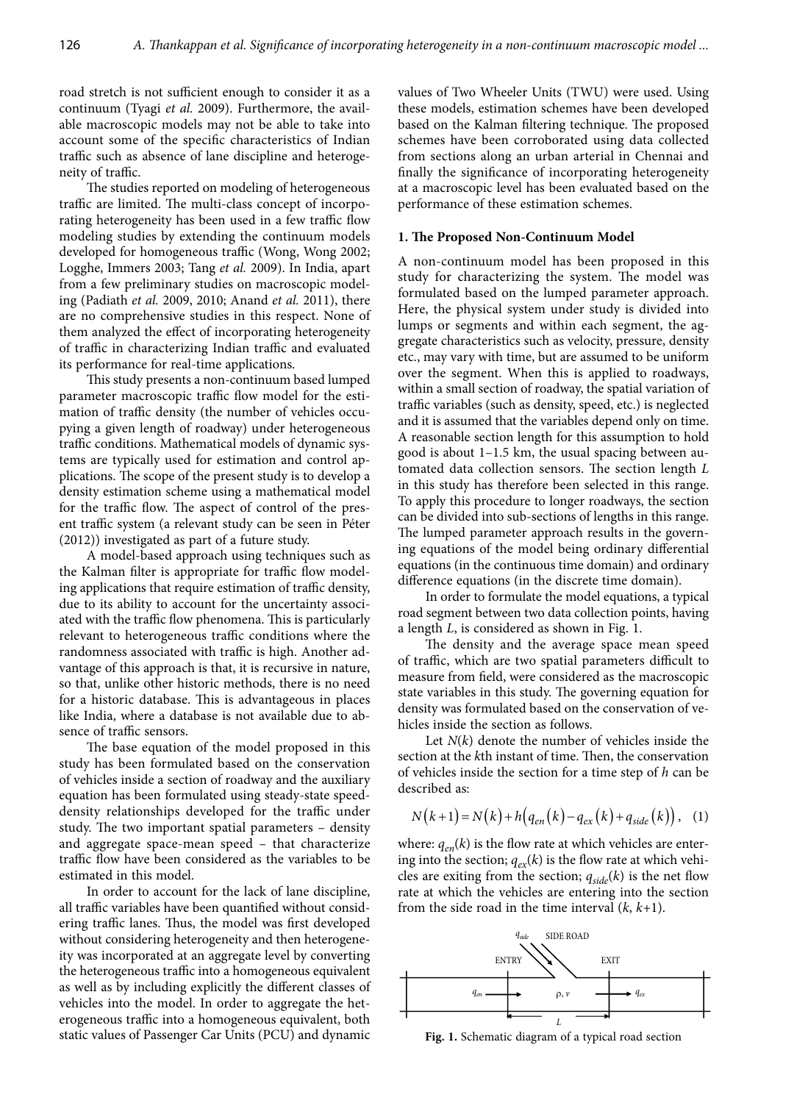road stretch is not sufficient enough to consider it as a continuum (Tyagi *et al.* 2009). Furthermore, the available macroscopic models may not be able to take into account some of the specific characteristics of Indian traffic such as absence of lane discipline and heterogeneity of traffic.

The studies reported on modeling of heterogeneous traffic are limited. The multi-class concept of incorporating heterogeneity has been used in a few traffic flow modeling studies by extending the continuum models developed for homogeneous traffic (Wong, Wong 2002; Logghe, Immers 2003; Tang *et al.* 2009). In India, apart from a few preliminary studies on macroscopic modeling (Padiath *et al.* 2009, 2010; Anand *et al.* 2011), there are no comprehensive studies in this respect. None of them analyzed the effect of incorporating heterogeneity of traffic in characterizing Indian traffic and evaluated its performance for real-time applications.

This study presents a non-continuum based lumped parameter macroscopic traffic flow model for the estimation of traffic density (the number of vehicles occupying a given length of roadway) under heterogeneous traffic conditions. Mathematical models of dynamic systems are typically used for estimation and control applications. The scope of the present study is to develop a density estimation scheme using a mathematical model for the traffic flow. The aspect of control of the present traffic system (a relevant study can be seen in Péter (2012)) investigated as part of a future study.

A model-based approach using techniques such as the Kalman filter is appropriate for traffic flow modeling applications that require estimation of traffic density, due to its ability to account for the uncertainty associated with the traffic flow phenomena. This is particularly relevant to heterogeneous traffic conditions where the randomness associated with traffic is high. Another advantage of this approach is that, it is recursive in nature, so that, unlike other historic methods, there is no need for a historic database. This is advantageous in places like India, where a database is not available due to absence of traffic sensors.

The base equation of the model proposed in this study has been formulated based on the conservation of vehicles inside a section of roadway and the auxiliary equation has been formulated using steady-state speeddensity relationships developed for the traffic under study. The two important spatial parameters – density and aggregate space-mean speed – that characterize traffic flow have been considered as the variables to be estimated in this model.

In order to account for the lack of lane discipline, all traffic variables have been quantified without considering traffic lanes. Thus, the model was first developed without considering heterogeneity and then heterogeneity was incorporated at an aggregate level by converting the heterogeneous traffic into a homogeneous equivalent as well as by including explicitly the different classes of vehicles into the model. In order to aggregate the heterogeneous traffic into a homogeneous equivalent, both static values of Passenger Car Units (PCU) and dynamic values of Two Wheeler Units (TWU) were used. Using these models, estimation schemes have been developed based on the Kalman filtering technique. The proposed schemes have been corroborated using data collected from sections along an urban arterial in Chennai and finally the significance of incorporating heterogeneity at a macroscopic level has been evaluated based on the performance of these estimation schemes.

#### **1. The Proposed Non-Continuum Model**

A non-continuum model has been proposed in this study for characterizing the system. The model was formulated based on the lumped parameter approach. Here, the physical system under study is divided into lumps or segments and within each segment, the aggregate characteristics such as velocity, pressure, density etc., may vary with time, but are assumed to be uniform over the segment. When this is applied to roadways, within a small section of roadway, the spatial variation of traffic variables (such as density, speed, etc.) is neglected and it is assumed that the variables depend only on time. A reasonable section length for this assumption to hold good is about 1–1.5 km, the usual spacing between automated data collection sensors. The section length *L* in this study has therefore been selected in this range. To apply this procedure to longer roadways, the section can be divided into sub-sections of lengths in this range. The lumped parameter approach results in the governing equations of the model being ordinary differential equations (in the continuous time domain) and ordinary difference equations (in the discrete time domain).

In order to formulate the model equations, a typical road segment between two data collection points, having a length *L*, is considered as shown in Fig. 1.

The density and the average space mean speed of traffic, which are two spatial parameters difficult to measure from field, were considered as the macroscopic state variables in this study. The governing equation for density was formulated based on the conservation of vehicles inside the section as follows.

Let *N*(*k*) denote the number of vehicles inside the section at the *k*th instant of time. Then, the conservation of vehicles inside the section for a time step of *h* can be described as:

$$
N(k+1) = N(k) + h(q_{en}(k) - q_{ex}(k) + q_{side}(k)), \quad (1)
$$

where:  $q_{en}(k)$  is the flow rate at which vehicles are entering into the section;  $q_{ex}(k)$  is the flow rate at which vehicles are exiting from the section;  $q_{side}(k)$  is the net flow rate at which the vehicles are entering into the section from the side road in the time interval (*k*, *k+*1).



**Fig. 1.** Schematic diagram of a typical road section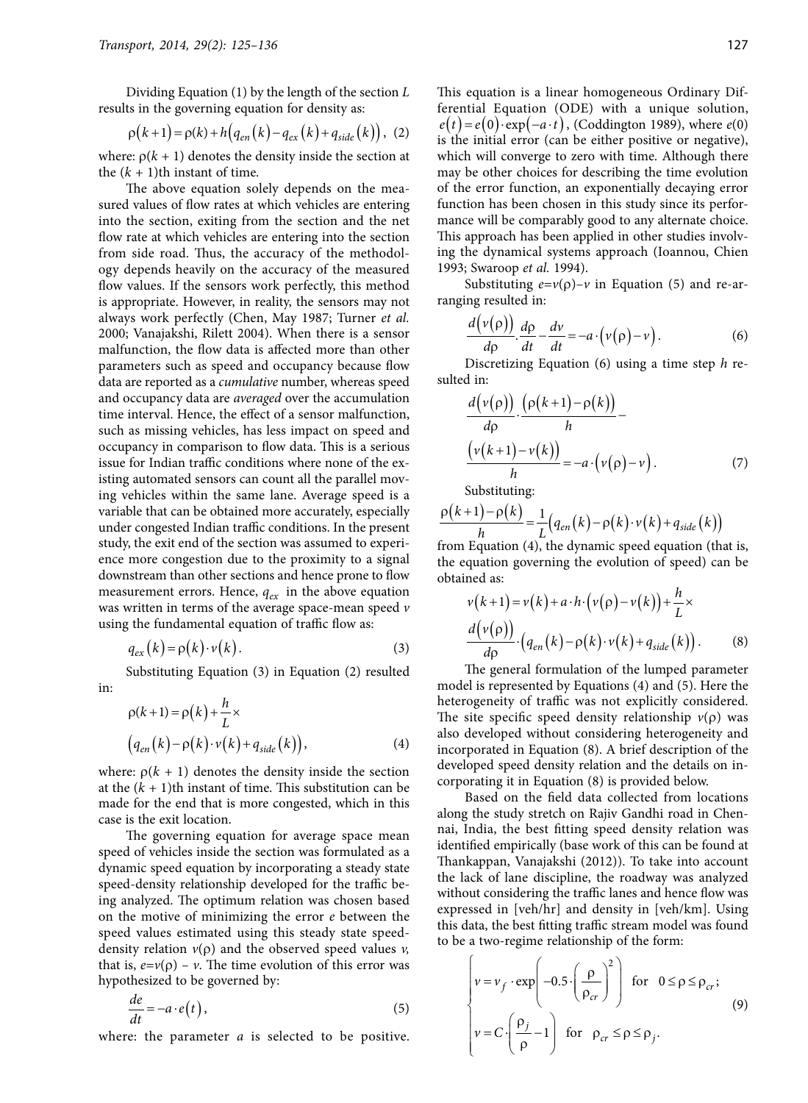Dividing Equation (1) by the length of the section *L*  results in the governing equation for density as:

$$
\rho(k+1) = \rho(k) + h(q_{en}(k) - q_{ex}(k) + q_{side}(k)), \tag{2}
$$

where:  $\rho(k + 1)$  denotes the density inside the section at the  $(k + 1)$ th instant of time.

The above equation solely depends on the measured values of flow rates at which vehicles are entering into the section, exiting from the section and the net flow rate at which vehicles are entering into the section from side road. Thus, the accuracy of the methodology depends heavily on the accuracy of the measured flow values. If the sensors work perfectly, this method is appropriate. However, in reality, the sensors may not always work perfectly (Chen, May 1987; Turner *et al.*  2000; Vanajakshi, Rilett 2004). When there is a sensor malfunction, the flow data is affected more than other parameters such as speed and occupancy because flow data are reported as a *cumulative* number, whereas speed and occupancy data are *averaged* over the accumulation time interval. Hence, the effect of a sensor malfunction, such as missing vehicles, has less impact on speed and occupancy in comparison to flow data. This is a serious issue for Indian traffic conditions where none of the existing automated sensors can count all the parallel moving vehicles within the same lane. Average speed is a variable that can be obtained more accurately, especially under congested Indian traffic conditions. In the present study, the exit end of the section was assumed to experience more congestion due to the proximity to a signal downstream than other sections and hence prone to flow measurement errors. Hence,  $q_{ex}$  in the above equation was written in terms of the average space-mean speed *v* using the fundamental equation of traffic flow as:

$$
q_{ex}(k) = \rho(k) \cdot v(k). \tag{3}
$$

Substituting Equation (3) in Equation (2) resulted in:

$$
\rho(k+1) = \rho(k) + \frac{h}{L} \times
$$
  
\n
$$
(q_{en}(k) - \rho(k) \cdot v(k) + q_{side}(k)),
$$
\n(4)

where:  $\rho(k + 1)$  denotes the density inside the section at the  $(k + 1)$ th instant of time. This substitution can be made for the end that is more congested, which in this case is the exit location.

The governing equation for average space mean speed of vehicles inside the section was formulated as a dynamic speed equation by incorporating a steady state speed-density relationship developed for the traffic being analyzed. The optimum relation was chosen based on the motive of minimizing the error *e* between the speed values estimated using this steady state speeddensity relation *v*(ρ) and the observed speed values *v,*  that is,  $e=v(\rho) - v$ . The time evolution of this error was hypothesized to be governed by:

$$
\frac{de}{dt} = -a \cdot e(t),\tag{5}
$$

where: the parameter *a* is selected to be positive.

This equation is a linear homogeneous Ordinary Differential Equation (ODE) with a unique solution,  $e(t) = e(0) \cdot \exp(-a \cdot t)$ , (Coddington 1989), where  $e(0)$ is the initial error (can be either positive or negative), which will converge to zero with time. Although there may be other choices for describing the time evolution of the error function, an exponentially decaying error function has been chosen in this study since its performance will be comparably good to any alternate choice. This approach has been applied in other studies involving the dynamical systems approach (Ioannou, Chien 1993; Swaroop *et al.* 1994).

Substituting  $e=v(\rho)-v$  in Equation (5) and re-arranging resulted in:

$$
\frac{d(v(\rho))}{d\rho} \frac{d\rho}{dt} - \frac{dv}{dt} = -a \cdot (v(\rho) - v).
$$
 (6)

Discretizing Equation (6) using a time step *h* resulted in:

$$
\frac{d(v(\rho))}{d\rho} \cdot \frac{(\rho(k+1) - \rho(k))}{h} - \frac{(v(k+1) - v(k))}{h} = -a \cdot (v(\rho) - v).
$$
\nSubstituting

\n(7)

Substituting:

$$
\frac{\rho(k+1)-\rho(k)}{h} = \frac{1}{L}(q_{en}(k)-\rho(k)\cdot v(k)+q_{side}(k))
$$

from Equation (4), the dynamic speed equation (that is, the equation governing the evolution of speed) can be obtained as:

$$
v(k+1) = v(k) + a \cdot h \cdot (v(\rho) - v(k)) + \frac{h}{L} \times
$$
  

$$
\frac{d(v(\rho))}{d\rho} \cdot (q_{en}(k) - \rho(k) \cdot v(k) + q_{side}(k)).
$$
 (8)

The general formulation of the lumped parameter model is represented by Equations (4) and (5). Here the heterogeneity of traffic was not explicitly considered. The site specific speed density relationship *v*(ρ) was also developed without considering heterogeneity and incorporated in Equation (8). A brief description of the developed speed density relation and the details on incorporating it in Equation (8) is provided below.

Based on the field data collected from locations along the study stretch on Rajiv Gandhi road in Chennai, India, the best fitting speed density relation was identified empirically (base work of this can be found at Thankappan, Vanajakshi (2012)). To take into account the lack of lane discipline, the roadway was analyzed without considering the traffic lanes and hence flow was expressed in [veh/hr] and density in [veh/km]. Using this data, the best fitting traffic stream model was found to be a two-regime relationship of the form:

$$
\begin{cases}\nv = v_f \cdot \exp\left(-0.5 \cdot \left(\frac{\rho}{\rho_{cr}}\right)^2\right) & \text{for } 0 \le \rho \le \rho_{cr}; \\
v = C \cdot \left(\frac{\rho_j}{\rho} - 1\right) & \text{for } \rho_{cr} \le \rho \le \rho_j.\n\end{cases}
$$
\n(9)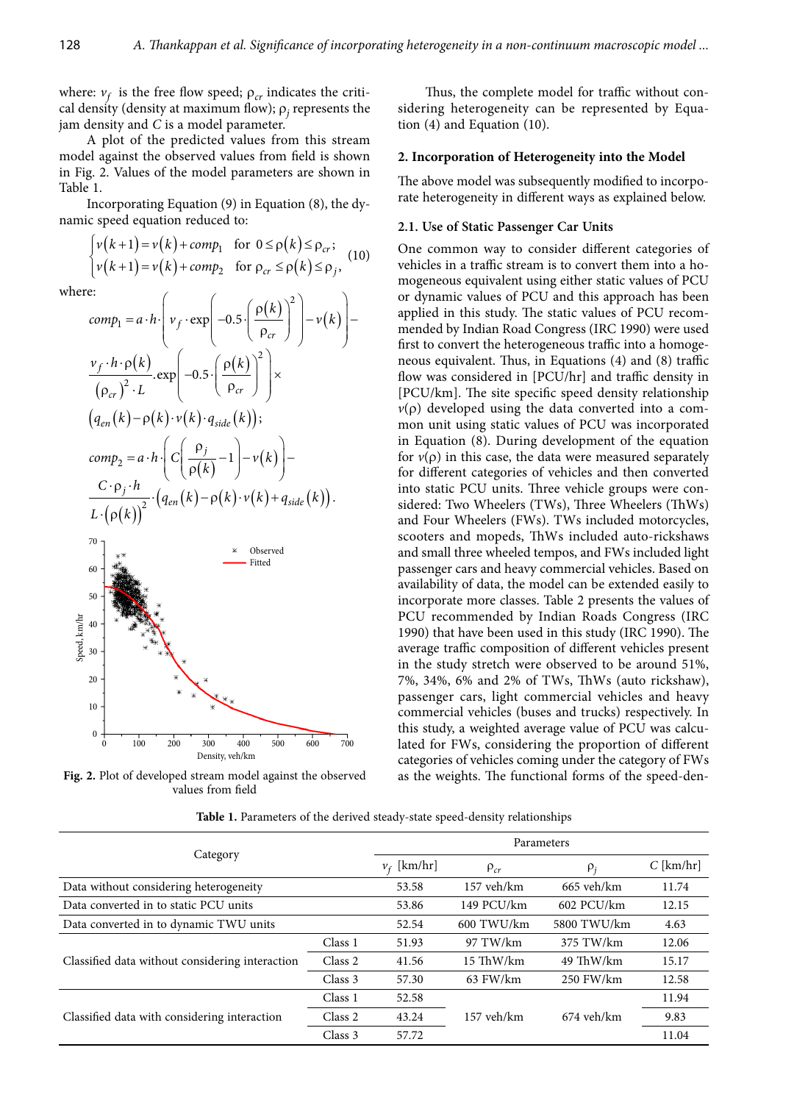where:  $v_f$  is the free flow speed;  $\rho_{cr}$  indicates the critical density (density at maximum flow);  $\rho_j$  represents the jam density and *C* is a model parameter.

A plot of the predicted values from this stream model against the observed values from field is shown in Fig. 2. Values of the model parameters are shown in Table 1.

Incorporating Equation (9) in Equation (8), the dynamic speed equation reduced to:

$$
\begin{cases} v(k+1) = v(k) + comp_1 & \text{for } 0 \le \rho(k) \le \rho_{cr}; \\ v(k+1) = v(k) + comp_2 & \text{for } \rho_{cr} \le \rho(k) \le \rho_j, \end{cases}
$$
 (10)

where:

 $\boldsymbol{0}$ 10

20

$$
comp_1 = a \cdot h \cdot \left( v_f \cdot \exp\left(-0.5 \cdot \left(\frac{\rho(k)}{\rho_{cr}}\right)^2\right) - v(k)\right) - \frac{v_f \cdot h \cdot \rho(k)}{\left(\rho_{cr}\right)^2 \cdot L} \cdot \exp\left(-0.5 \cdot \left(\frac{\rho(k)}{\rho_{cr}}\right)^2\right) \times \frac{\left(q_{en}(k) - \rho(k) \cdot v(k) \cdot q_{side}(k)\right);}{\left(q_{en}(k) - \rho(k) \cdot v(k) \cdot q_{side}(k)\right);}
$$
\n
$$
comp_2 = a \cdot h \cdot \left(C\left(\frac{\rho_j}{\rho(k)} - 1\right) - v(k)\right) - \frac{C \cdot \rho_j \cdot h}{L \cdot \left(\rho(k)\right)^2} \cdot \left(q_{en}(k) - \rho(k) \cdot v(k) + q_{side}(k)\right).
$$
\n
$$
\begin{array}{c}\n\pi_0 \\
\pi_1 \\
\pi_2 \\
\pi_3 \\
\pi_4 \\
\pi_5 \\
\pi_6\n\end{array}
$$
\n
$$
\begin{array}{c}\n\pi_1 \\
\pi_2 \\
\pi_3 \\
\pi_4 \\
\pi_5 \\
\pi_6\n\end{array}
$$

values from field

Density, veh/km

0 100 200 300 400 500 600 700

Thus, the complete model for traffic without considering heterogeneity can be represented by Equation (4) and Equation (10).

### **2. Incorporation of Heterogeneity into the Model**

The above model was subsequently modified to incorporate heterogeneity in different ways as explained below.

## **2.1. Use of Static Passenger Car Units**

One common way to consider different categories of vehicles in a traffic stream is to convert them into a homogeneous equivalent using either static values of PCU or dynamic values of PCU and this approach has been applied in this study. The static values of PCU recommended by Indian Road Congress (IRC 1990) were used first to convert the heterogeneous traffic into a homogeneous equivalent. Thus, in Equations (4) and (8) traffic flow was considered in [PCU/hr] and traffic density in [PCU/km]. The site specific speed density relationship  $v(\rho)$  developed using the data converted into a common unit using static values of PCU was incorporated in Equation (8). During development of the equation for  $v(\rho)$  in this case, the data were measured separately for different categories of vehicles and then converted into static PCU units. Three vehicle groups were considered: Two Wheelers (TWs), Three Wheelers (ThWs) and Four Wheelers (FWs). TWs included motorcycles, scooters and mopeds, ThWs included auto-rickshaws and small three wheeled tempos, and FWs included light passenger cars and heavy commercial vehicles. Based on availability of data, the model can be extended easily to incorporate more classes. Table 2 presents the values of PCU recommended by Indian Roads Congress (IRC 1990) that have been used in this study (IRC 1990). The average traffic composition of different vehicles present in the study stretch were observed to be around 51%, 7%, 34%, 6% and 2% of TWs, ThWs (auto rickshaw), passenger cars, light commercial vehicles and heavy commercial vehicles (buses and trucks) respectively. In this study, a weighted average value of PCU was calculated for FWs, considering the proportion of different categories of vehicles coming under the category of FWs **Fig. 2.** Plot of developed stream model against the observed as the weights. The functional forms of the speed-den-

|                                                 |         | Parameters    |                            |              |             |  |
|-------------------------------------------------|---------|---------------|----------------------------|--------------|-------------|--|
| Category                                        |         | $v_f$ [km/hr] | $\rho_i$<br>$\rho_{cr}$    |              | $C$ [km/hr] |  |
| Data without considering heterogeneity          |         | 53.58         | 157 veh/km                 | $665$ veh/km | 11.74       |  |
| Data converted in to static PCU units           |         | 53.86         | 149 PCU/km                 | 602 PCU/km   | 12.15       |  |
| Data converted in to dynamic TWU units          |         | 52.54         | 600 TWU/km                 | 5800 TWU/km  | 4.63        |  |
|                                                 | Class 1 | 51.93         | 97 TW/km                   | 375 TW/km    | 12.06       |  |
| Classified data without considering interaction | Class 2 | 41.56         | 15 ThW/km                  | 49 ThW/km    | 15.17       |  |
|                                                 | Class 3 | 57.30         | 63 FW/km                   | 250 FW/km    | 12.58       |  |
|                                                 | Class 1 | 52.58         |                            |              | 11.94       |  |
| Classified data with considering interaction    | Class 2 | 43.24         | 157 veh/km<br>$674$ veh/km |              | 9.83        |  |
|                                                 | Class 3 | 57.72         |                            |              | 11.04       |  |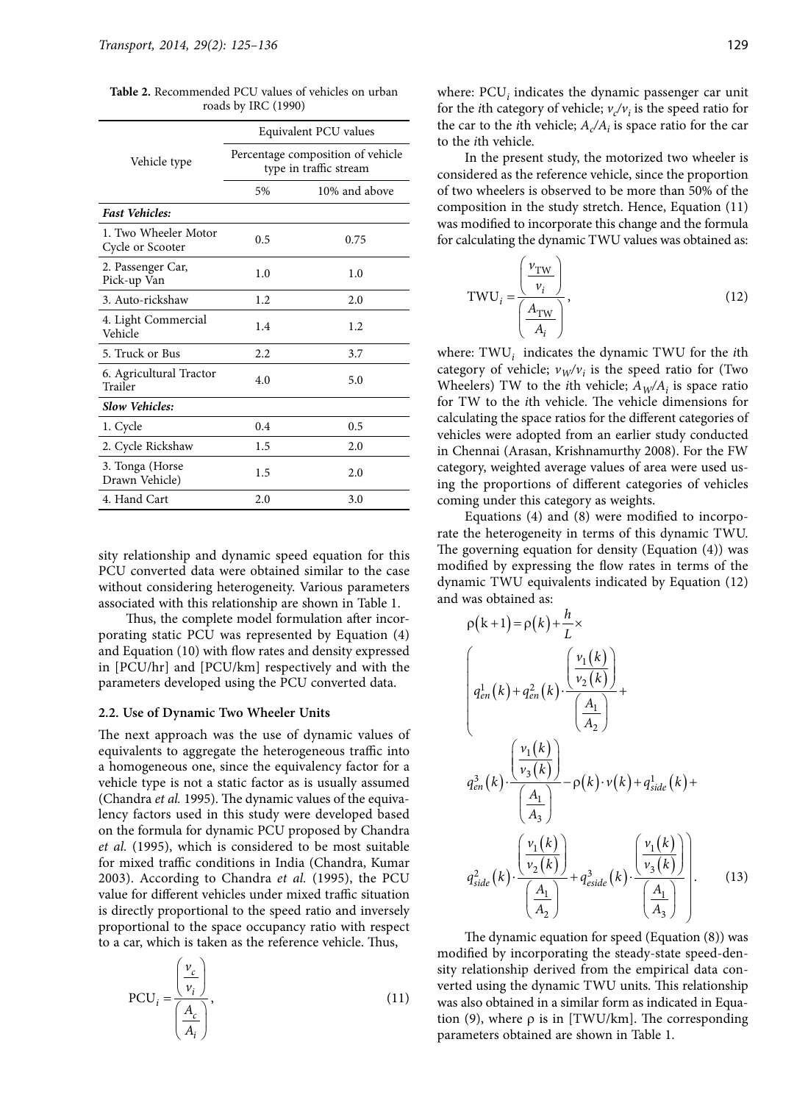| <b>Table 2.</b> Recommended PCU values of vehicles on urban |
|-------------------------------------------------------------|
| roads by IRC (1990)                                         |

|                                          | Equivalent PCU values                                       |               |  |  |
|------------------------------------------|-------------------------------------------------------------|---------------|--|--|
| Vehicle type                             | Percentage composition of vehicle<br>type in traffic stream |               |  |  |
|                                          | 5%                                                          | 10% and above |  |  |
| <b>Fast Vehicles:</b>                    |                                                             |               |  |  |
| 1. Two Wheeler Motor<br>Cycle or Scooter | 0.5                                                         | 0.75          |  |  |
| 2. Passenger Car,<br>Pick-up Van         | 1.0                                                         | 1.0           |  |  |
| 3. Auto-rickshaw                         | 1.2                                                         | 2.0           |  |  |
| 4. Light Commercial<br>Vehicle           | 1.4                                                         | 1.2           |  |  |
| 5. Truck or Bus                          | 2.2                                                         | 3.7           |  |  |
| 6. Agricultural Tractor<br>Trailer       | 4.0                                                         | 5.0           |  |  |
| <b>Slow Vehicles:</b>                    |                                                             |               |  |  |
| 1. Cycle                                 | 0.4                                                         | 0.5           |  |  |
| 2. Cycle Rickshaw                        | 1.5                                                         | 2.0           |  |  |
| 3. Tonga (Horse<br>Drawn Vehicle)        | 1.5                                                         | 2.0           |  |  |
| 4. Hand Cart                             | 2.0                                                         | 3.0           |  |  |

sity relationship and dynamic speed equation for this PCU converted data were obtained similar to the case without considering heterogeneity. Various parameters associated with this relationship are shown in Table 1.

Thus, the complete model formulation after incorporating static PCU was represented by Equation (4) and Equation (10) with flow rates and density expressed in [PCU/hr] and [PCU/km] respectively and with the parameters developed using the PCU converted data.

# **2.2. Use of Dynamic Two Wheeler Units**

The next approach was the use of dynamic values of equivalents to aggregate the heterogeneous traffic into a homogeneous one, since the equivalency factor for a vehicle type is not a static factor as is usually assumed (Chandra *et al.* 1995). The dynamic values of the equivalency factors used in this study were developed based on the formula for dynamic PCU proposed by Chandra *et al.* (1995), which is considered to be most suitable for mixed traffic conditions in India (Chandra, Kumar 2003). According to Chandra *et al.* (1995), the PCU value for different vehicles under mixed traffic situation is directly proportional to the speed ratio and inversely proportional to the space occupancy ratio with respect to a car, which is taken as the reference vehicle. Thus,

$$
PCU_i = \frac{\left(\frac{v_c}{v_i}\right)}{\left(\frac{A_c}{A_i}\right)},\tag{11}
$$

where: PCU*<sup>i</sup>* indicates the dynamic passenger car unit for the *i*th category of vehicle;  $v_c/v_i$  is the speed ratio for the car to the *i*th vehicle;  $A_c/A_i$  is space ratio for the car to the *i*th vehicle.

In the present study, the motorized two wheeler is considered as the reference vehicle, since the proportion of two wheelers is observed to be more than 50% of the composition in the study stretch. Hence, Equation (11) was modified to incorporate this change and the formula for calculating the dynamic TWU values was obtained as:

$$
TWU_i = \frac{\left(\frac{\nu_{TW}}{\nu_i}\right)}{\left(\frac{A_{TW}}{A_i}\right)},
$$
\n(12)

where: TWU*<sup>i</sup>* indicates the dynamic TWU for the *i*th category of vehicle;  $v_W/v_i$  is the speed ratio for (Two Wheelers) TW to the *i*th vehicle;  $A_W/A_i$  is space ratio for TW to the *i*th vehicle. The vehicle dimensions for calculating the space ratios for the different categories of vehicles were adopted from an earlier study conducted in Chennai (Arasan, Krishnamurthy 2008). For the FW category, weighted average values of area were used using the proportions of different categories of vehicles coming under this category as weights.

Equations (4) and (8) were modified to incorporate the heterogeneity in terms of this dynamic TWU. The governing equation for density (Equation (4)) was modified by expressing the flow rates in terms of the dynamic TWU equivalents indicated by Equation (12) and was obtained as:

$$
\rho(k+1) = \rho(k) + \frac{h}{L} \times
$$
\n
$$
\left(q_{en}^{1}(k) + q_{en}^{2}(k) \cdot \frac{\left(\frac{v_{1}(k)}{v_{2}(k)}\right)}{\left(\frac{A_{1}}{A_{2}}\right)}\right) +
$$
\n
$$
q_{en}^{3}(k) \cdot \frac{\left(\frac{v_{1}(k)}{v_{3}(k)}\right)}{\left(\frac{A_{1}}{A_{3}}\right)} - \rho(k) \cdot v(k) + q_{side}^{1}(k) +
$$
\n
$$
q_{side}^{2}(k) \cdot \frac{\left(\frac{v_{1}(k)}{v_{2}(k)}\right)}{\left(\frac{A_{1}}{A_{2}}\right)} + q_{side}^{3}(k) \cdot \frac{\left(\frac{v_{1}(k)}{v_{3}(k)}\right)}{\left(\frac{A_{1}}{A_{3}}\right)}\right). \tag{13}
$$

The dynamic equation for speed (Equation (8)) was modified by incorporating the steady-state speed-density relationship derived from the empirical data converted using the dynamic TWU units. This relationship was also obtained in a similar form as indicated in Equation (9), where  $\rho$  is in [TWU/km]. The corresponding parameters obtained are shown in Table 1.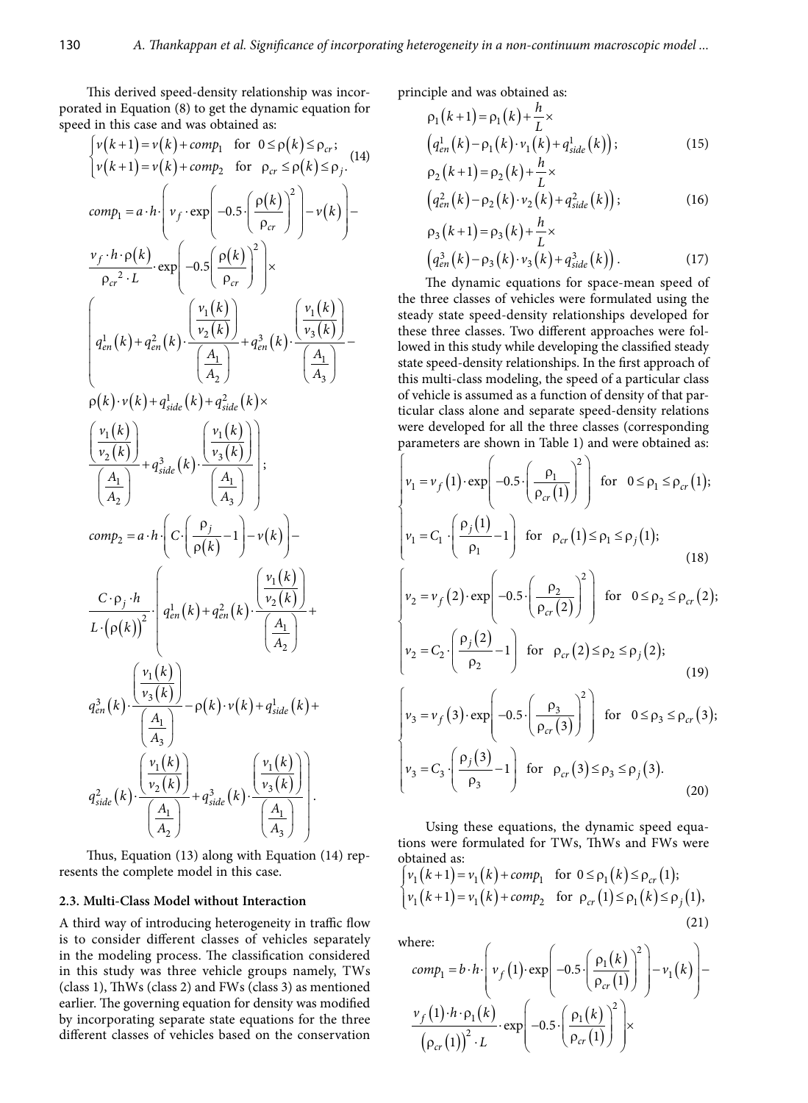This derived speed-density relationship was incorporated in Equation (8) to get the dynamic equation for speed in this case and was obtained as:

$$
\int v(k+1) = v(k) + comp_1 \text{ for } 0 \le p(k) \le p_c; \quad (14)
$$
\n
$$
v(k+1) = v(k) + comp_2 \text{ for } p_c \le p(k) \le p_j. \quad (14)
$$
\n
$$
comp_1 = a \cdot h \cdot \left( v_f \cdot exp \left( -0.5 \left( \frac{p(k)}{p_c} \right)^2 \right) - v(k) \right) - \frac{v_f \cdot h \cdot p(k)}{p_c^2 \cdot L} \cdot exp \left( -0.5 \left( \frac{p(k)}{p_c} \right)^2 \right) \times \left( \frac{v_1(k)}{v_2(k)} \right) \cdot \frac{\left( \frac{v_1(k)}{v_2(k)} \right)}{\left( \frac{A_1}{A_2} \right)} + q_{en}^3(k) \cdot \frac{\left( \frac{v_1(k)}{v_3(k)} \right)}{\left( \frac{A_1}{A_3} \right)} - \frac{\left( \frac{v_1(k)}{v_2(k)} \right)}{\left( \frac{A_1}{A_2} \right)} + q_{side}^3(k) \cdot \frac{\left( \frac{v_1(k)}{v_3(k)} \right)}{\left( \frac{A_1}{A_3} \right)} + q_{side}^3(k) \cdot \frac{\left( \frac{v_1(k)}{v_3(k)} \right)}{\left( \frac{A_1}{A_3} \right)} \text{;}
$$
\n
$$
comp_2 = a \cdot h \cdot \left( C \cdot \left( \frac{p_j}{p(k)} - 1 \right) - v(k) \right) - \frac{C \cdot p_j \cdot h}{L \cdot (p(k))^2} \cdot \left( \frac{q_{en}(k) + q_{en}(k) \cdot \frac{\left( \frac{v_1(k)}{v_2(k)} \right)}{\left( \frac{A_1}{A_2} \right)} + \frac{Q \cdot q_k}{Q \cdot q_k} \right) \cdot \frac{\left( \frac{v_1(k)}{v_3(k)} \right)}{\left( \frac{A_1}{A_3} \right)} + q_{side}^3(k) \cdot \frac{\left( \frac{v_1(k)}{v_3(k)} \right)}{\left( \frac{A_1}{A_3} \right)} + q_{side}^3(k) \cdot \frac{\left( \frac{v_1(k)}{v_3(k)} \right)}{\left( \frac{A_1}{A_3} \right)}.
$$

Thus, Equation (13) along with Equation (14) represents the complete model in this case.

# **2.3. Multi-Class Model without Interaction**

A third way of introducing heterogeneity in traffic flow is to consider different classes of vehicles separately in the modeling process. The classification considered in this study was three vehicle groups namely, TWs (class 1), ThWs (class 2) and FWs (class 3) as mentioned earlier. The governing equation for density was modified by incorporating separate state equations for the three different classes of vehicles based on the conservation principle and was obtained as:

$$
\rho_1(k+1) = \rho_1(k) + \frac{h}{L} \times
$$
\n
$$
\left(q_{en}^1(k) - \rho_1(k) \cdot v_1(k) + q_{side}^1(k)\right);
$$
\n
$$
(15)
$$

$$
\rho_2(k+1) = \rho_2(k) + \frac{h}{L} \times \n\left(q_{en}^2(k) - \rho_2(k) \cdot v_2(k) + q_{side}^2(k)\right);
$$
\n(16)

$$
\rho_3(k+1) = \rho_3(k) + \frac{h}{L} \times
$$
  
\n
$$
(q_{en}^3(k) - \rho_3(k) \cdot v_3(k) + q_{side}^3(k)).
$$
\n(17)

The dynamic equations for space-mean speed of the three classes of vehicles were formulated using the steady state speed-density relationships developed for these three classes. Two different approaches were followed in this study while developing the classified steady state speed-density relationships. In the first approach of this multi-class modeling, the speed of a particular class of vehicle is assumed as a function of density of that particular class alone and separate speed-density relations were developed for all the three classes (corresponding parameters are shown in Table 1) and were obtained as:

$$
\begin{cases}\nv_1 = v_f(1) \cdot \exp\left(-0.5 \cdot \left(\frac{\rho_1}{\rho_{cr}(1)}\right)^2\right) & \text{for } 0 \le \rho_1 \le \rho_{cr}(1);\nv_1 = C_1 \cdot \left(\frac{\rho_j(1)}{\rho_1} - 1\right) & \text{for } \rho_{cr}(1) \le \rho_1 \le \rho_j(1);\n\end{cases}
$$
\n(18)

$$
\begin{cases}\nv_2 = v_f(2) \cdot \exp\left(-0.5 \cdot \left(\frac{\rho_2}{\rho_{cr}(2)}\right)^2\right) & \text{for } 0 \le \rho_2 \le \rho_{cr}(2);\n\end{cases}
$$
\n
$$
v_2 = C_2 \cdot \left(\frac{\rho_j(2)}{1 - 1}\right) \quad \text{for } \rho_{cr}(2) \le \rho_2 \le \rho_j(2);
$$

$$
\left| v_2 = C_2 \cdot \left( \frac{\rho_j(2)}{\rho_2} - 1 \right) \text{ for } \rho_{cr}(2) \le \rho_2 \le \rho_j(2); \tag{19}
$$

$$
\begin{cases}\nv_3 = v_f(3) \cdot \exp\left(-0.5 \cdot \left(\frac{\rho_3}{\rho_{cr}(3)}\right)^2\right) & \text{for } 0 \le \rho_3 \le \rho_{cr}(3);\nv_3 = C_3 \cdot \left(\frac{\rho_j(3)}{\rho_3} - 1\right) & \text{for } \rho_{cr}(3) \le \rho_3 \le \rho_j(3).\n\end{cases}
$$
\n(20)

Using these equations, the dynamic speed equations were formulated for TWs, ThWs and FWs were obtained as:

$$
\begin{cases}\nv_1(k+1) = v_1(k) + comp_1 & \text{for } 0 \le \rho_1(k) \le \rho_{cr}(1); \\
v_1(k+1) = v_1(k) + comp_2 & \text{for } \rho_{cr}(1) \le \rho_1(k) \le \rho_j(1),\n\end{cases}
$$
\n(21)

where:

$$
comp1 = b \cdot h \cdot \left( v_f(1) \cdot exp \left( -0.5 \cdot \left( \frac{\rho_1(k)}{\rho_{cr}(1)} \right)^2 \right) - v_1(k) \right) - \frac{v_f(1) \cdot h \cdot \rho_1(k)}{\left( \rho_{cr}(1) \right)^2 \cdot L} \cdot exp \left( -0.5 \cdot \left( \frac{\rho_1(k)}{\rho_{cr}(1)} \right)^2 \right) \times
$$

 $\lambda$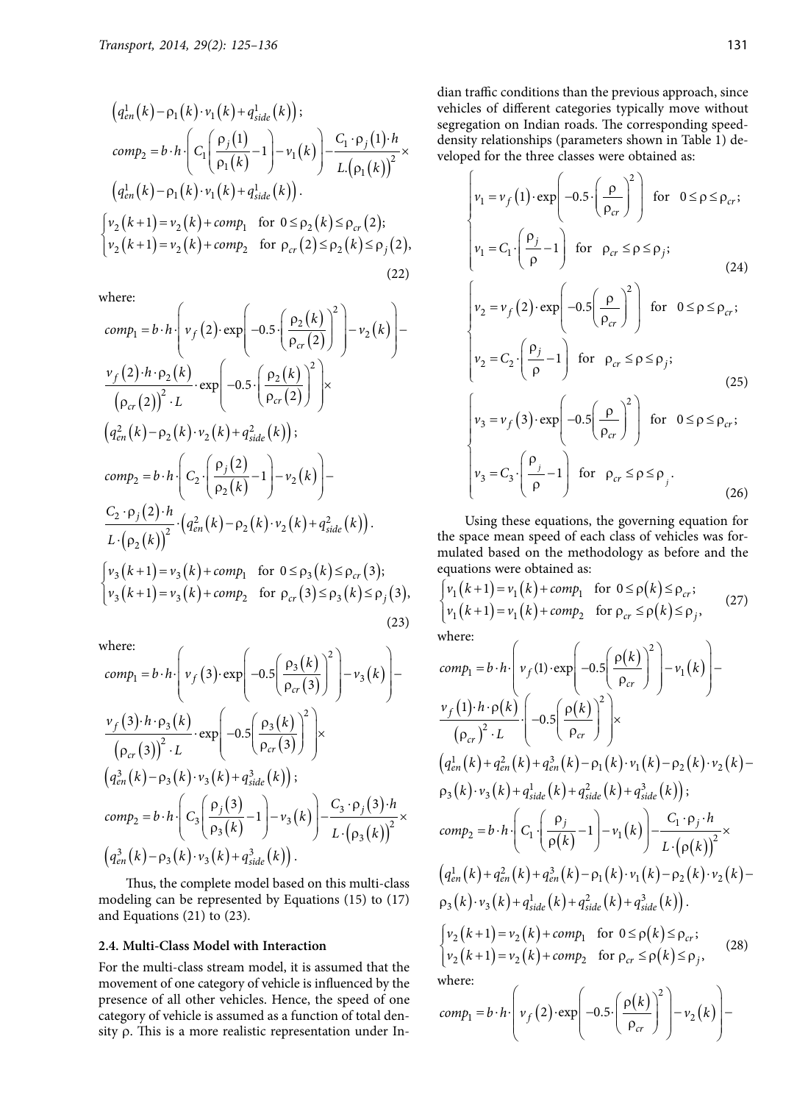$$
(q_{en}^{1}(k) - \rho_{1}(k) \cdot v_{1}(k) + q_{side}^{1}(k));
$$
  
\n
$$
comp_{2} = b \cdot h \cdot \left( C_{1} \left( \frac{\rho_{j}(1)}{\rho_{1}(k)} - 1 \right) - v_{1}(k) \right) - \frac{C_{1} \cdot \rho_{j}(1) \cdot h}{L \cdot (\rho_{1}(k))^{2}} \times
$$
  
\n
$$
(q_{en}^{1}(k) - \rho_{1}(k) \cdot v_{1}(k) + q_{side}^{1}(k)).
$$
  
\n
$$
\begin{cases} v_{2}(k+1) = v_{2}(k) + comp_{1} & \text{for } 0 \leq \rho_{2}(k) \leq \rho_{cr}(2); \\ v_{2}(k+1) = v_{2}(k) + comp_{2} & \text{for } \rho_{cr}(2) \leq \rho_{2}(k) \leq \rho_{j}(2), \end{cases}
$$
  
\n(22)

where:

comp<sub>1</sub> = b · h · 
$$
\left(v_f(2) \cdot \exp\left(-0.5 \cdot \left(\frac{\rho_2(k)}{\rho_{cr}(2)}\right)^2\right) - v_2(k)\right)
$$
  
\n $\frac{v_f(2) \cdot h \cdot \rho_2(k)}{(\rho_{cr}(2))^2 \cdot L} \cdot \exp\left(-0.5 \cdot \left(\frac{\rho_2(k)}{\rho_{cr}(2)}\right)^2\right) \times$   
\n $\left(q_{en}^2(k) - \rho_2(k) \cdot v_2(k) + q_{side}^2(k)\right);$   
\n $comp_2 = b \cdot h \cdot \left(C_2 \cdot \left(\frac{\rho_f(2)}{\rho_2(k)} - 1\right) - v_2(k)\right)$   
\n $\frac{C_2 \cdot \rho_f(2) \cdot h}{L \cdot (\rho_2(k))^2} \cdot \left(q_{en}^2(k) - \rho_2(k) \cdot v_2(k) + q_{side}^2(k)\right).$   
\n $\left[v_3(k+1) = v_3(k) + comp_1 \text{ for } 0 \le \rho_3(k) \le \rho_{cr}(3);$   
\n $v_3(k+1) = v_3(k) + comp_2 \text{ for } \rho_{cr}(3) \le \rho_3(k) \le \rho_f(3),$   
\n(23)

where:

where:

\n
$$
\text{comp}_1 = b \cdot h \cdot \left( v_f(3) \cdot \exp\left( -0.5 \left( \frac{\rho_3(k)}{\rho_{cr}(3)} \right)^2 \right) - v_3(k) \right) - \frac{v_f(3) \cdot h \cdot \rho_3(k)}{\left( \rho_{cr}(3) \right)^2 \cdot L} \cdot \exp\left( -0.5 \left( \frac{\rho_3(k)}{\rho_{cr}(3)} \right)^2 \right) \times
$$
\n
$$
\left( q_{en}^3(k) - \rho_3(k) \cdot v_3(k) + q_{side}^3(k) \right);
$$
\n
$$
\text{comp}_2 = b \cdot h \cdot \left( C_3 \left( \frac{\rho_3(k)}{\rho_3(k)} - 1 \right) - v_3(k) \right) - \frac{C_3 \cdot \rho_f(3) \cdot h}{L \cdot (\rho_3(k))^2} \times
$$
\n
$$
\left( q_{en}^3(k) - \rho_3(k) \cdot v_3(k) + q_{side}^3(k) \right).
$$

Thus, the complete model based on this multi-class modeling can be represented by Equations (15) to (17) and Equations (21) to (23).

# **2.4. Multi-Class Model with Interaction**

For the multi-class stream model, it is assumed that the movement of one category of vehicle is influenced by the presence of all other vehicles. Hence, the speed of one category of vehicle is assumed as a function of total density ρ. This is a more realistic representation under Indian traffic conditions than the previous approach, since vehicles of different categories typically move without segregation on Indian roads. The corresponding speeddensity relationships (parameters shown in Table 1) developed for the three classes were obtained as:

$$
\begin{cases}\nv_1 = v_f(1) \cdot \exp\left(-0.5 \cdot \left(\frac{\rho}{\rho_{cr}}\right)^2\right) & \text{for } 0 \le \rho \le \rho_{cr}; \\
v_1 = C_1 \cdot \left(\frac{\rho_j}{\rho} - 1\right) & \text{for } \rho_{cr} \le \rho \le \rho_j; \\
v_2 = v_f(2) \cdot \exp\left(-0.5 \left(\frac{\rho}{\rho_{cr}}\right)^2\right) & \text{for } 0 \le \rho \le \rho_{cr}; \\
v_2 = C_2 \cdot \left(\frac{\rho_j}{\rho} - 1\right) & \text{for } \rho_{cr} \le \rho \le \rho_j; \\
v_3 = v_f(3) \cdot \exp\left(-0.5 \left(\frac{\rho}{\rho_{cr}}\right)^2\right) & \text{for } 0 \le \rho \le \rho_{cr}; \\
v_3 = C_3 \cdot \left(\frac{\rho_j}{\rho} - 1\right) & \text{for } \rho_{cr} \le \rho \le \rho_j.\n\end{cases}
$$
\n(26)

Using these equations, the governing equation for the space mean speed of each class of vehicles was formulated based on the methodology as before and the equations were obtained as:

$$
\begin{cases}\nv_1(k+1) = v_1(k) + comp_1 & \text{for } 0 \le \rho(k) \le \rho_{cr}; \\
v_1(k+1) = v_1(k) + comp_2 & \text{for } \rho_{cr} \le \rho(k) \le \rho_j, \\
\text{where:}\n\end{cases}\n\tag{27}
$$

comp<sub>1</sub> = b · h. 
$$
\left( v_f(1) \cdot \exp\left( -0.5 \left( \frac{\rho(k)}{\rho_{cr}} \right)^2 \right) - v_1(k) \right) - v_1(k) \left( \frac{\rho_{cr}(1) \cdot h \cdot \rho(k)}{\rho_{cr}^2 \cdot L} \left( -0.5 \left( \frac{\rho(k)}{\rho_{cr}} \right)^2 \right) \times
$$
  
\n
$$
\left( q_{en}^1(k) + q_{en}^2(k) + q_{en}^3(k) - \rho_1(k) \cdot v_1(k) - \rho_2(k) \cdot v_2(k) - \rho_3(k) \cdot v_3(k) + q_{side}^3(k) + q_{side}^2(k) + q_{side}^3(k) \right);
$$
\ncomp<sub>2</sub> = b · h.  $\left( C_1 \cdot \left( \frac{\rho_j}{\rho(k)} - 1 \right) - v_1(k) \right) - \frac{C_1 \cdot \rho_j \cdot h}{L \cdot (\rho(k))^2} \times$   
\n
$$
\left( q_{en}^1(k) + q_{en}^2(k) + q_{en}^3(k) - \rho_1(k) \cdot v_1(k) - \rho_2(k) \cdot v_2(k) - \rho_3(k) \cdot v_3(k) + q_{side}^3(k) + q_{side}^3(k) + q_{side}^3(k) \right).
$$
\n
$$
\left[ v_2(k+1) = v_2(k) + comp_1 \text{ for } 0 \le \rho(k) \le \rho_{cr};
$$
\n
$$
\left( v_2(k+1) = v_2(k) + comp_2 \text{ for } \rho_{cr} \le \rho(k) \le \rho_j, \right)
$$
\nwhere:

comp<sub>1</sub> = b · h
$$
\cdot
$$
  $\left( v_f(2) \cdot \exp\left(-0.5 \cdot \left(\frac{\rho(k)}{\rho_{cr}}\right)^2\right) - v_2(k) \right)$ 

(26)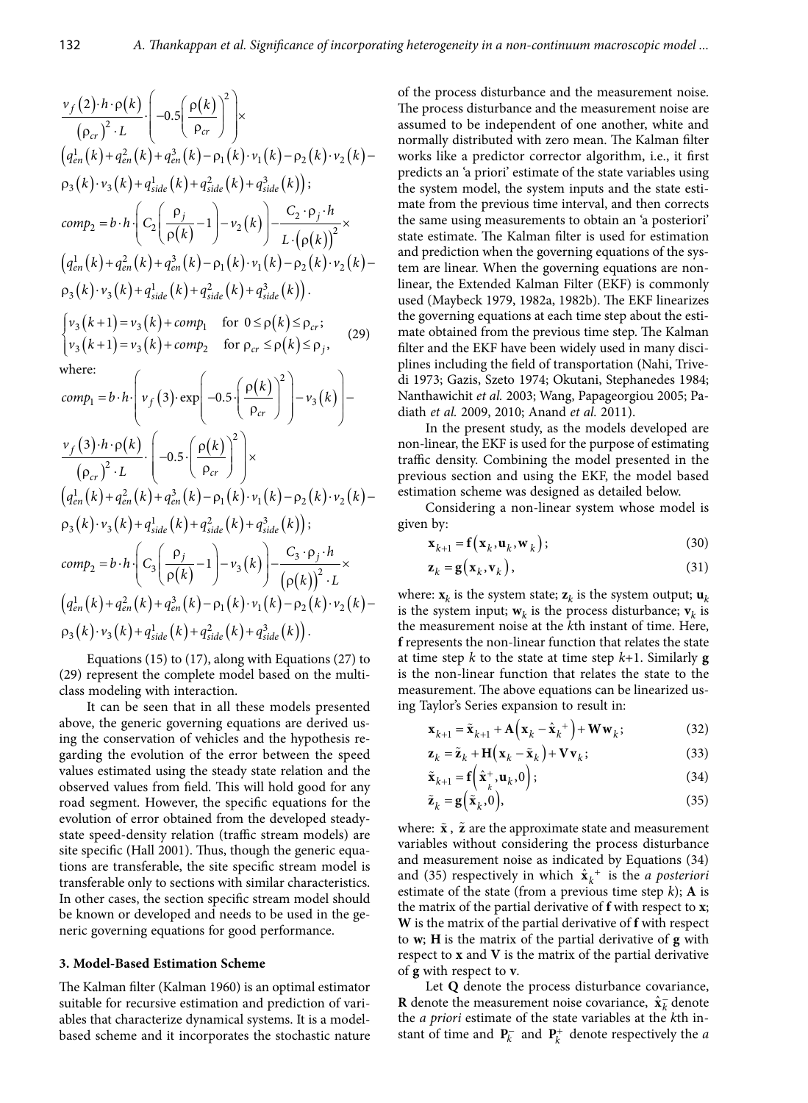$$
\frac{v_f(2) \cdot h \cdot \rho(k)}{(\rho_{cr})^2 \cdot L} \left\{ -0.5 \left( \frac{\rho(k)}{\rho_{cr}} \right)^2 \right\} \times
$$
\n
$$
\left( q_{en}^1(k) + q_{en}^2(k) + q_{en}^3(k) - \rho_1(k) \cdot v_1(k) - \rho_2(k) \cdot v_2(k) - \rho_3(k) \cdot v_3(k) + q_{side}^1(k) + q_{side}^2(k) + q_{side}^3(k) \right);
$$
\n
$$
comp_2 = b \cdot h \cdot \left( C_2 \left( \frac{\rho_j}{\rho(k)} - 1 \right) - v_2(k) \right) - \frac{C_2 \cdot \rho_j \cdot h}{L \cdot (\rho(k))^2} \times
$$
\n
$$
\left( q_{en}^1(k) + q_{en}^2(k) + q_{en}^3(k) - \rho_1(k) \cdot v_1(k) - \rho_2(k) \cdot v_2(k) - \rho_3(k) \cdot v_3(k) + q_{side}^3(k) + q_{side}^3(k) + q_{side}^3(k) \right).
$$

 $(k+1) = v_3 (k) + comp_1$  for  $0 \le \rho(k)$  $(k+1) = v_3 (k) + comp_2$  for  $\rho_{cr} \le \rho(k)$  $\bigl\lvert v_3(k+1) = v_3(k) + comp_1$  for  $0 \le \rho(k) \le \rho$  $\begin{cases} v_3(k+1) - v_3(k) + comp_1 & \text{for } 0 \leq p(k) \leq p_{cr} \\ v_3(k+1) = v_3(k) + comp_2 & \text{for } p_{cr} \leq p(k) \leq p_{cr} \end{cases}$  $3(\kappa+1)-\nu_3(\kappa)+\text{comp}_2$  $1 = v_3(k) + comp_1$  for  $0 \le \rho(k) \le \rho_{cr}$ ; 1) =  $v_3(k)$  + comp<sub>2</sub> for  $\rho_{cr} \le \rho(k) \le \rho_j$ , *cr*  $cr = P(N) \geq r_j$  $v_3(k+1) = v_3(k) + comp_1$  for  $0 \le \rho(k)$  $v_3(k+1) = v_3(k) + comp_2$  for  $\rho_{cr} \le \rho(k) \le \rho_i$ , (29) where:

where:  
\n
$$
comp_1 = b \cdot h \cdot \left( v_f(3) \cdot exp \left( -0.5 \cdot \left( \frac{\rho(k)}{\rho_{cr}} \right)^2 \right) - v_3(k) \right) - v_4(k) \cdot \left( \frac{\rho(s)}{\rho_{cr}} \right)^2 \cdot L \cdot \left( -0.5 \cdot \left( \frac{\rho(k)}{\rho_{cr}} \right)^2 \right) \times
$$
\n
$$
\left( q_{en}^1(k) + q_{en}^2(k) + q_{en}^3(k) - \rho_1(k) \cdot v_1(k) - \rho_2(k) \cdot v_2(k) - \rho_3(k) \cdot v_3(k) + q_{side}^1(k) + q_{side}^2(k) + q_{side}^3(k) \right);
$$
\n
$$
comp_2 = b \cdot h \cdot \left( C_3 \left( \frac{\rho_j}{\rho(k)} - 1 \right) - v_3(k) \right) - \frac{C_3 \cdot \rho_j \cdot h}{(\rho(k))^2 \cdot L} \times
$$
\n
$$
\left( q_{en}^1(k) + q_{en}^2(k) + q_{en}^3(k) - \rho_1(k) \cdot v_1(k) - \rho_2(k) \cdot v_2(k) - \rho_3(k) \cdot v_3(k) + q_{side}^1(k) + q_{side}^2(k) + q_{side}^3(k) \right).
$$

Equations (15) to (17), along with Equations (27) to (29) represent the complete model based on the multiclass modeling with interaction.

It can be seen that in all these models presented above, the generic governing equations are derived using the conservation of vehicles and the hypothesis regarding the evolution of the error between the speed values estimated using the steady state relation and the observed values from field. This will hold good for any road segment. However, the specific equations for the evolution of error obtained from the developed steadystate speed-density relation (traffic stream models) are site specific (Hall 2001). Thus, though the generic equations are transferable, the site specific stream model is transferable only to sections with similar characteristics. In other cases, the section specific stream model should be known or developed and needs to be used in the generic governing equations for good performance.

## **3. Model-Based Estimation Scheme**

The Kalman filter (Kalman 1960) is an optimal estimator suitable for recursive estimation and prediction of variables that characterize dynamical systems. It is a modelbased scheme and it incorporates the stochastic nature of the process disturbance and the measurement noise. The process disturbance and the measurement noise are assumed to be independent of one another, white and normally distributed with zero mean. The Kalman filter works like a predictor corrector algorithm, i.e., it first predicts an 'a priori' estimate of the state variables using the system model, the system inputs and the state estimate from the previous time interval, and then corrects the same using measurements to obtain an 'a posteriori' state estimate. The Kalman filter is used for estimation and prediction when the governing equations of the system are linear. When the governing equations are nonlinear, the Extended Kalman Filter (EKF) is commonly used (Maybeck 1979, 1982a, 1982b). The EKF linearizes the governing equations at each time step about the estimate obtained from the previous time step. The Kalman filter and the EKF have been widely used in many disciplines including the field of transportation (Nahi, Trivedi 1973; Gazis, Szeto 1974; Okutani, Stephanedes 1984; Nanthawichit *et al.* 2003; Wang, Papageorgiou 2005; Padiath *et al.* 2009, 2010; Anand *et al.* 2011).

In the present study, as the models developed are non-linear, the EKF is used for the purpose of estimating traffic density. Combining the model presented in the previous section and using the EKF, the model based estimation scheme was designed as detailed below.

Considering a non-linear system whose model is given by:

$$
\mathbf{x}_{k+1} = \mathbf{f}\left(\mathbf{x}_k, \mathbf{u}_k, \mathbf{w}_k\right);
$$
 (30)

$$
\mathbf{z}_k = \mathbf{g}(\mathbf{x}_k, \mathbf{v}_k),\tag{31}
$$

where:  $\mathbf{x}_k$  is the system state;  $\mathbf{z}_k$  is the system output;  $\mathbf{u}_k$ is the system input;  $w_k$  is the process disturbance;  $v_k$  is the measurement noise at the *k*th instant of time. Here, **f** represents the non-linear function that relates the state at time step  $k$  to the state at time step  $k+1$ . Similarly **g** is the non-linear function that relates the state to the measurement. The above equations can be linearized using Taylor's Series expansion to result in:

$$
\mathbf{x}_{k+1} = \tilde{\mathbf{x}}_{k+1} + \mathbf{A} \left( \mathbf{x}_k - \hat{\mathbf{x}}_k^+ \right) + \mathbf{W} \mathbf{w}_k; \tag{32}
$$

$$
\mathbf{z}_k = \tilde{\mathbf{z}}_k + \mathbf{H}(\mathbf{x}_k - \tilde{\mathbf{x}}_k) + \mathbf{V}\mathbf{v}_k; \tag{33}
$$

$$
\tilde{\mathbf{x}}_{k+1} = \mathbf{f}\left(\hat{\mathbf{x}}_{k}^{+}, \mathbf{u}_{k}, 0\right);
$$
\n(34)

$$
\tilde{\mathbf{z}}_k = \mathbf{g}(\dot{\tilde{\mathbf{x}}_k, 0}),\tag{35}
$$

where: **x** , **z** are the approximate state and measurement variables without considering the process disturbance and measurement noise as indicated by Equations (34) and (35) respectively in which  $\hat{\mathbf{x}}_k^+$  is the *a posteriori* estimate of the state (from a previous time step *k*); **A** is the matrix of the partial derivative of **f** with respect to **x**; **W** is the matrix of the partial derivative of **f** with respect to **w**; **H** is the matrix of the partial derivative of **g** with respect to **x** and **V** is the matrix of the partial derivative of **g** with respect to **v**.

Let **Q** denote the process disturbance covariance, **R** denote the measurement noise covariance,  $\hat{\mathbf{x}}_k^-$  denote the *a priori* estimate of the state variables at the *k*th instant of time and  $P_k^-$  and  $P_k^+$  denote respectively the *a*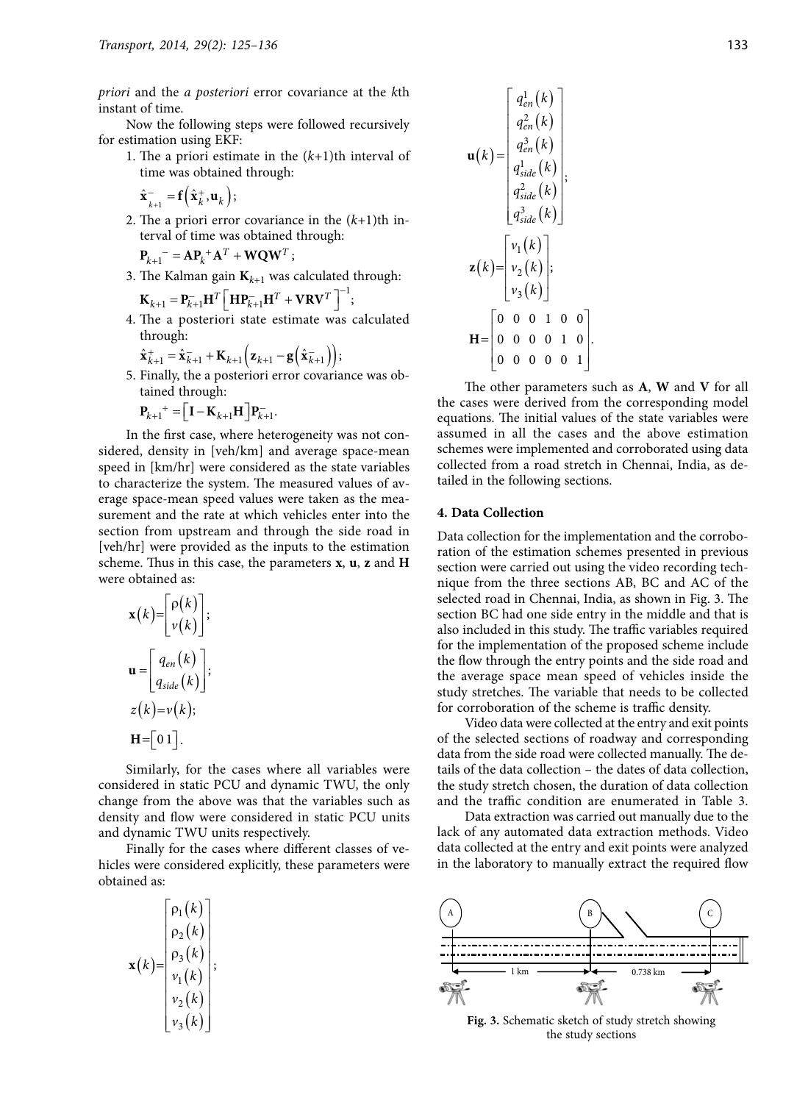*priori* and the *a posteriori* error covariance at the *k*th instant of time.

Now the following steps were followed recursively for estimation using EKF:

1. The a priori estimate in the (*k*+1)th interval of time was obtained through:

$$
\hat{\mathbf{x}}_{k+1}^{-} = \mathbf{f}\left(\hat{\mathbf{x}}_{k}^{+}, \mathbf{u}_{k}\right);
$$

2. The a priori error covariance in the  $(k+1)$ <sup>th</sup> interval of time was obtained through:

$$
\mathbf{P}_{k+1}^- = \mathbf{A} \mathbf{P}_k^+ \mathbf{A}^T + \mathbf{W} \mathbf{Q} \mathbf{W}^T ;
$$

3. The Kalman gain **K***k*+1 was calculated through:

$$
\mathbf{K}_{k+1} = \mathbf{P}_{k+1}^-\mathbf{H}^T \left[ \mathbf{H} \mathbf{P}_{k+1}^- \mathbf{H}^T + \mathbf{V} \mathbf{R} \mathbf{V}^T \right]^{-1};
$$

4. The a posteriori state estimate was calculated through:

$$
\hat{\mathbf{x}}_{k+1}^{+} = \hat{\mathbf{x}}_{k+1}^{-} + \mathbf{K}_{k+1} \left( \mathbf{z}_{k+1} - \mathbf{g} \left( \hat{\mathbf{x}}_{k+1}^{-} \right) \right);
$$
  
5. Finally, the a posteriori error covariance was ob-

tained through:

$$
\mathbf{P}_{k+1}^+ = \left[\mathbf{I} - \mathbf{K}_{k+1}\mathbf{H}\right]\mathbf{P}_{k+1}^-.
$$

In the first case, where heterogeneity was not considered, density in [veh/km] and average space-mean speed in [km/hr] were considered as the state variables to characterize the system. The measured values of average space-mean speed values were taken as the measurement and the rate at which vehicles enter into the section from upstream and through the side road in [veh/hr] were provided as the inputs to the estimation scheme. Thus in this case, the parameters **x**, **u**, **z** and **H** were obtained as:

$$
\mathbf{x}(k) = \begin{bmatrix} \rho(k) \\ v(k) \end{bmatrix};
$$

$$
\mathbf{u} = \begin{bmatrix} q_{en}(k) \\ q_{side}(k) \end{bmatrix};
$$

$$
z(k) = v(k);
$$

$$
\mathbf{H} = \begin{bmatrix} 0 & 1 \end{bmatrix}.
$$

Similarly, for the cases where all variables were considered in static PCU and dynamic TWU, the only change from the above was that the variables such as density and flow were considered in static PCU units and dynamic TWU units respectively.

Finally for the cases where different classes of vehicles were considered explicitly, these parameters were obtained as:

$$
\mathbf{x}(k) = \begin{bmatrix} \rho_1(k) \\ \rho_2(k) \\ \rho_3(k) \\ v_1(k) \\ v_2(k) \\ v_3(k) \end{bmatrix};
$$

$$
\mathbf{u}(k) = \begin{bmatrix} q_{en}^1(k) \\ q_{en}^2(k) \\ q_{en}^3(k) \\ q_{side}^1(k) \\ q_{side}^2(k) \\ q_{side}^3(k) \end{bmatrix};
$$

$$
\mathbf{z}(k) = \begin{bmatrix} v_1(k) \\ v_2(k) \\ v_3(k) \end{bmatrix};
$$

$$
\mathbf{H} = \begin{bmatrix} 0 & 0 & 0 & 1 & 0 & 0 \\ 0 & 0 & 0 & 0 & 1 & 0 \\ 0 & 0 & 0 & 0 & 0 & 1 \\ 0 & 0 & 0 & 0 & 0 & 1 \end{bmatrix}.
$$

The other parameters such as **A**, **W** and **V** for all the cases were derived from the corresponding model equations. The initial values of the state variables were assumed in all the cases and the above estimation schemes were implemented and corroborated using data collected from a road stretch in Chennai, India, as detailed in the following sections.

## **4. Data Collection**

Data collection for the implementation and the corroboration of the estimation schemes presented in previous section were carried out using the video recording technique from the three sections AB, BC and AC of the selected road in Chennai, India, as shown in Fig. 3. The section BC had one side entry in the middle and that is also included in this study. The traffic variables required for the implementation of the proposed scheme include the flow through the entry points and the side road and the average space mean speed of vehicles inside the study stretches. The variable that needs to be collected for corroboration of the scheme is traffic density.

Video data were collected at the entry and exit points of the selected sections of roadway and corresponding data from the side road were collected manually. The details of the data collection – the dates of data collection, the study stretch chosen, the duration of data collection and the traffic condition are enumerated in Table 3.

Data extraction was carried out manually due to the lack of any automated data extraction methods. Video data collected at the entry and exit points were analyzed in the laboratory to manually extract the required flow



**Fig. 3.** Schematic sketch of study stretch showing the study sections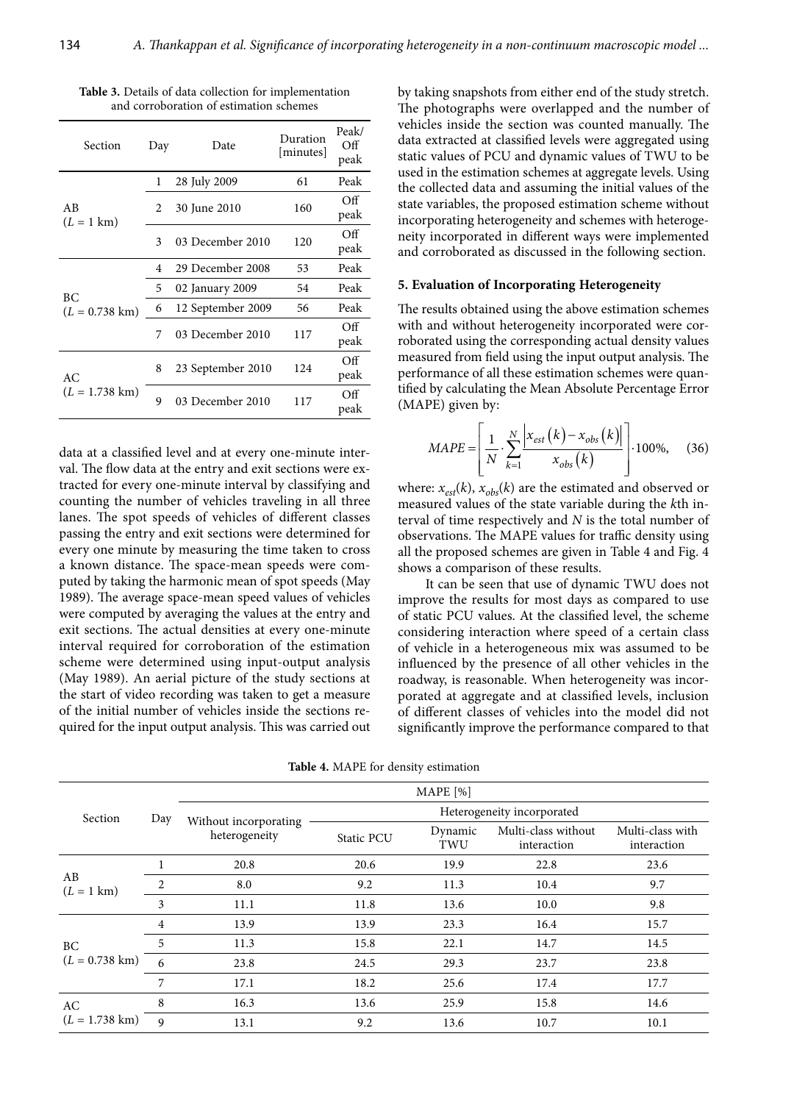| Section                    | Day | Date              | Duration<br>[minutes] | Peak/<br>Off<br>peak |
|----------------------------|-----|-------------------|-----------------------|----------------------|
| AB<br>$(L = 1 \text{ km})$ | 1   | 28 July 2009      | 61                    | Peak                 |
|                            | 2   | 30 June 2010      | 160                   | Off<br>peak          |
|                            | 3   | 03 December 2010  | 120                   | Off<br>peak          |
| BC.<br>$(L = 0.738$ km)    | 4   | 29 December 2008  | 53                    | Peak                 |
|                            | 5   | 02 January 2009   | 54                    | Peak                 |
|                            | 6   | 12 September 2009 | 56                    | Peak                 |
|                            | 7   | 03 December 2010  | 117                   | Off<br>peak          |
| AC<br>$(L = 1.738$ km)     | 8   | 23 September 2010 | 124                   | Off<br>peak          |
|                            | 9   | 03 December 2010  | 117                   | Off<br>peak          |

**Table 3.** Details of data collection for implementation and corroboration of estimation schemes

data at a classified level and at every one-minute interval. The flow data at the entry and exit sections were extracted for every one-minute interval by classifying and counting the number of vehicles traveling in all three lanes. The spot speeds of vehicles of different classes passing the entry and exit sections were determined for every one minute by measuring the time taken to cross a known distance. The space-mean speeds were computed by taking the harmonic mean of spot speeds (May 1989). The average space-mean speed values of vehicles were computed by averaging the values at the entry and exit sections. The actual densities at every one-minute interval required for corroboration of the estimation scheme were determined using input-output analysis (May 1989). An aerial picture of the study sections at the start of video recording was taken to get a measure of the initial number of vehicles inside the sections required for the input output analysis. This was carried out by taking snapshots from either end of the study stretch. The photographs were overlapped and the number of vehicles inside the section was counted manually. The data extracted at classified levels were aggregated using static values of PCU and dynamic values of TWU to be used in the estimation schemes at aggregate levels. Using the collected data and assuming the initial values of the state variables, the proposed estimation scheme without incorporating heterogeneity and schemes with heterogeneity incorporated in different ways were implemented and corroborated as discussed in the following section.

## **5. Evaluation of Incorporating Heterogeneity**

The results obtained using the above estimation schemes with and without heterogeneity incorporated were corroborated using the corresponding actual density values measured from field using the input output analysis. The performance of all these estimation schemes were quantified by calculating the Mean Absolute Percentage Error (MAPE) given by:

$$
MAPE = \left[ \frac{1}{N} \cdot \sum_{k=1}^{N} \frac{\left| x_{est} (k) - x_{obs} (k) \right|}{x_{obs} (k)} \right] \cdot 100\%, \quad (36)
$$

where:  $x_{est}(k)$ ,  $x_{obs}(k)$  are the estimated and observed or measured values of the state variable during the *k*th interval of time respectively and *N* is the total number of observations. The MAPE values for traffic density using all the proposed schemes are given in Table 4 and Fig. 4 shows a comparison of these results.

It can be seen that use of dynamic TWU does not improve the results for most days as compared to use of static PCU values. At the classified level, the scheme considering interaction where speed of a certain class of vehicle in a heterogeneous mix was assumed to be influenced by the presence of all other vehicles in the roadway, is reasonable. When heterogeneity was incorporated at aggregate and at classified levels, inclusion of different classes of vehicles into the model did not significantly improve the performance compared to that

**Table 4.** MAPE for density estimation

|                            | Day            | MAPE [%]                               |                            |                |                                    |                                 |  |
|----------------------------|----------------|----------------------------------------|----------------------------|----------------|------------------------------------|---------------------------------|--|
| Section                    |                |                                        | Heterogeneity incorporated |                |                                    |                                 |  |
|                            |                | Without incorporating<br>heterogeneity | <b>Static PCU</b>          | Dynamic<br>TWU | Multi-class without<br>interaction | Multi-class with<br>interaction |  |
| AB<br>$(L = 1 \text{ km})$ |                | 20.8                                   | 20.6                       | 19.9           | 22.8                               | 23.6                            |  |
|                            | $\overline{2}$ | 8.0                                    | 9.2                        | 11.3           | 10.4                               | 9.7                             |  |
|                            | 3              | 11.1                                   | 11.8                       | 13.6           | 10.0                               | 9.8                             |  |
| BC<br>$(L = 0.738$ km)     | $\overline{4}$ | 13.9                                   | 13.9                       | 23.3           | 16.4                               | 15.7                            |  |
|                            | 5              | 11.3                                   | 15.8                       | 22.1           | 14.7                               | 14.5                            |  |
|                            | 6              | 23.8                                   | 24.5                       | 29.3           | 23.7                               | 23.8                            |  |
|                            | 7              | 17.1                                   | 18.2                       | 25.6           | 17.4                               | 17.7                            |  |
| AC<br>$(L = 1.738$ km)     | 8              | 16.3                                   | 13.6                       | 25.9           | 15.8                               | 14.6                            |  |
|                            | $\mathbf Q$    | 13.1                                   | 9.2                        | 13.6           | 10.7                               | 10.1                            |  |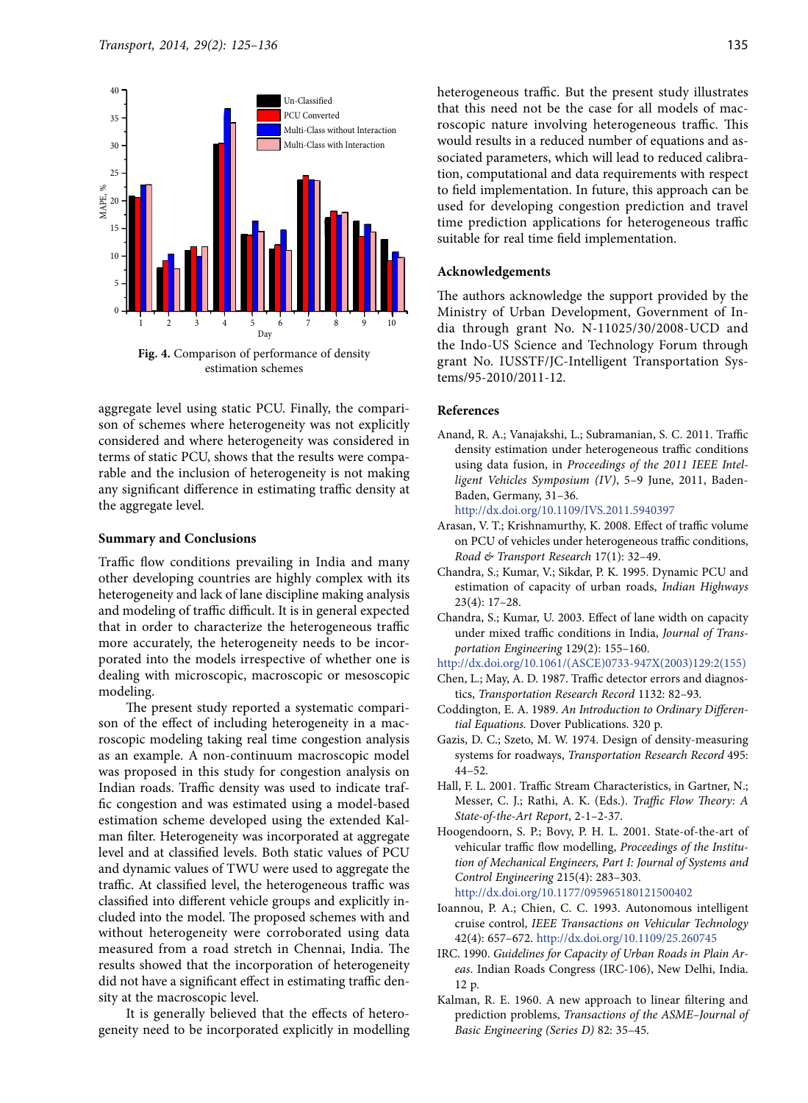

aggregate level using static PCU. Finally, the comparison of schemes where heterogeneity was not explicitly considered and where heterogeneity was considered in terms of static PCU, shows that the results were comparable and the inclusion of heterogeneity is not making any significant difference in estimating traffic density at the aggregate level.

# **Summary and Conclusions**

Traffic flow conditions prevailing in India and many other developing countries are highly complex with its heterogeneity and lack of lane discipline making analysis and modeling of traffic difficult. It is in general expected that in order to characterize the heterogeneous traffic more accurately, the heterogeneity needs to be incorporated into the models irrespective of whether one is dealing with microscopic, macroscopic or mesoscopic modeling.

The present study reported a systematic comparison of the effect of including heterogeneity in a macroscopic modeling taking real time congestion analysis as an example. A non-continuum macroscopic model was proposed in this study for congestion analysis on Indian roads. Traffic density was used to indicate traffic congestion and was estimated using a model-based estimation scheme developed using the extended Kalman filter. Heterogeneity was incorporated at aggregate level and at classified levels. Both static values of PCU and dynamic values of TWU were used to aggregate the traffic. At classified level, the heterogeneous traffic was classified into different vehicle groups and explicitly included into the model. The proposed schemes with and without heterogeneity were corroborated using data measured from a road stretch in Chennai, India. The results showed that the incorporation of heterogeneity did not have a significant effect in estimating traffic density at the macroscopic level.

It is generally believed that the effects of heterogeneity need to be incorporated explicitly in modelling heterogeneous traffic. But the present study illustrates that this need not be the case for all models of macroscopic nature involving heterogeneous traffic. This would results in a reduced number of equations and associated parameters, which will lead to reduced calibration, computational and data requirements with respect to field implementation. In future, this approach can be used for developing congestion prediction and travel time prediction applications for heterogeneous traffic suitable for real time field implementation.

# **Acknowledgements**

The authors acknowledge the support provided by the Ministry of Urban Development, Government of India through grant No. N-11025/30/2008-UCD and the Indo-US Science and Technology Forum through grant No. IUSSTF/JC-Intelligent Transportation Systems/95-2010/2011-12.

### **References**

Anand, R. A.; Vanajakshi, L.; Subramanian, S. C. 2011. Traffic density estimation under heterogeneous traffic conditions using data fusion, in *Proceedings of the 2011 IEEE Intelligent Vehicles Symposium (IV)*, 5–9 June, 2011, Baden-Baden, Germany, 31–36.

<http://dx.doi.org/10.1109/IVS.2011.5940397>

- Arasan, V. T.; Krishnamurthy, K. 2008. Effect of traffic volume on PCU of vehicles under heterogeneous traffic conditions, *Road & Transport Research* 17(1): 32–49.
- Chandra, S.; Kumar, V.; Sikdar, P. K. 1995. Dynamic PCU and estimation of capacity of urban roads, *Indian Highways* 23(4): 17–28.
- Chandra, S.; Kumar, U. 2003. Effect of lane width on capacity under mixed traffic conditions in India, *Journal of Transportation Engineering* 129(2): 155–160.
- http://dx.doi.org/10.1061/(ASCE)0733-947X(2003)129:2(155)
- Chen, L.; May, A. D. 1987. Traffic detector errors and diagnostics, *Transportation Research Record* 1132: 82–93.
- Coddington*,* E. A. 1989. *An Introduction to Ordinary Differential Equations.* Dover Publications. 320 p.
- Gazis, D. C.; Szeto, M. W. 1974. Design of density-measuring systems for roadways, *Transportation Research Record* 495: 44–52.
- Hall, F. L. 2001. Traffic Stream Characteristics, in Gartner, N.; Messer, C. J.; Rathi, A. K. (Eds.). *Traffic Flow Theory: A State-of-the-Art Report*, 2-1–2-37.
- Hoogendoorn, S. P.; Bovy, P. H. L. 2001. State-of-the-art of vehicular traffic flow modelling, *Proceedings of the Institution of Mechanical Engineers, Part I: Journal of Systems and Control Engineering* 215(4): 283–303. <http://dx.doi.org/10.1177/095965180121500402>
- Ioannou, P. A.; Chien, C. C. 1993. Autonomous intelligent cruise control, *IEEE Transactions on Vehicular Technology*
- 42(4): 657–672. <http://dx.doi.org/10.1109/25.260745> IRC. 1990. *Guidelines for Capacity of Urban Roads in Plain Areas*. Indian Roads Congress (IRC-106), New Delhi, India. 12 p.
- Kalman, R. E. 1960. A new approach to linear filtering and prediction problems, *Transactions of the ASME–Journal of Basic Engineering (Series D)* 82: 35–45.